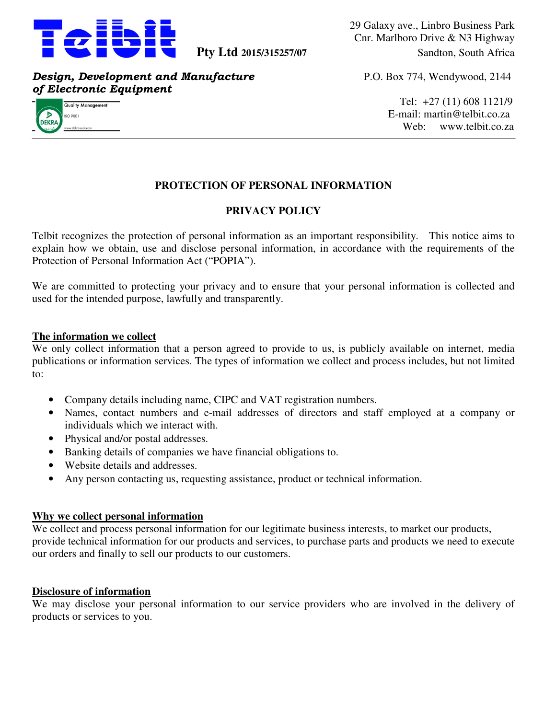

29 Galaxy ave., Linbro Business Park Cnr. Marlboro Drive & N3 Highway **Pty Ltd 2015/315257/07** Sandton, South Africa

*Design, Development and Manufacture* P.O. Box 774, Wendywood, 2144 *of Electronic Equipment* 



 $\frac{1}{\text{Quolity Management}}$  $E$ -mail: martin@telbit.co.za addecomolecomolecomolecomolecomolecomolecomolecomolecomolecomolecomolecomolecomolecomolecomolecomolecomolecomolecomolecomolecomolecomolecomolecomolecomolecomolecomolecomolecomolecomolecomolecomolecomolecomolecomolecomoleco

# **PROTECTION OF PERSONAL INFORMATION**

# **PRIVACY POLICY**

Telbit recognizes the protection of personal information as an important responsibility. This notice aims to explain how we obtain, use and disclose personal information, in accordance with the requirements of the Protection of Personal Information Act ("POPIA").

We are committed to protecting your privacy and to ensure that your personal information is collected and used for the intended purpose, lawfully and transparently.

## **The information we collect**

We only collect information that a person agreed to provide to us, is publicly available on internet, media publications or information services. The types of information we collect and process includes, but not limited to:

- Company details including name, CIPC and VAT registration numbers.
- Names, contact numbers and e-mail addresses of directors and staff employed at a company or individuals which we interact with.
- Physical and/or postal addresses.
- Banking details of companies we have financial obligations to.
- Website details and addresses.
- Any person contacting us, requesting assistance, product or technical information.

#### **Why we collect personal information**

We collect and process personal information for our legitimate business interests, to market our products, provide technical information for our products and services, to purchase parts and products we need to execute our orders and finally to sell our products to our customers.

#### **Disclosure of information**

We may disclose your personal information to our service providers who are involved in the delivery of products or services to you.